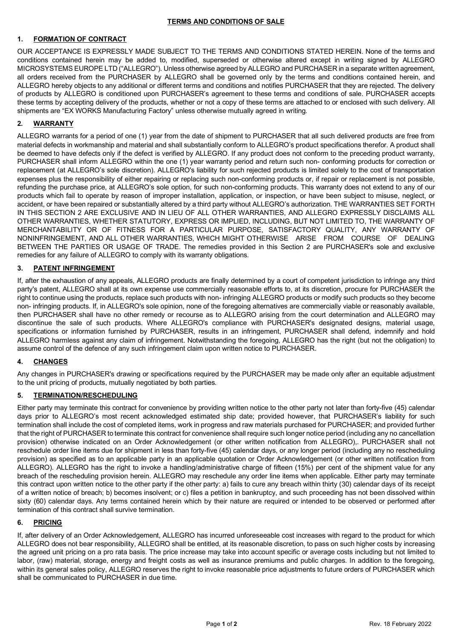### **TERMS AND CONDITIONS OF SALE**

# **1. FORMATION OF CONTRACT**

OUR ACCEPTANCE IS EXPRESSLY MADE SUBJECT TO THE TERMS AND CONDITIONS STATED HEREIN. None of the terms and conditions contained herein may be added to, modified, superseded or otherwise altered except in writing signed by ALLEGRO MICROSYSTEMS EUROPE LTD ("ALLEGRO"). Unless otherwise agreed by ALLEGRO and PURCHASER in a separate written agreement, all orders received from the PURCHASER by ALLEGRO shall be governed only by the terms and conditions contained herein, and ALLEGRO hereby objects to any additional or different terms and conditions and notifies PURCHASER that they are rejected. The delivery of products by ALLEGRO is conditioned upon PURCHASER's agreement to these terms and conditions of sale. PURCHASER accepts these terms by accepting delivery of the products, whether or not a copy of these terms are attached to or enclosed with such delivery. All shipments are "EX WORKS Manufacturing Factory" unless otherwise mutually agreed in writing.

## **2. WARRANTY**

ALLEGRO warrants for a period of one (1) year from the date of shipment to PURCHASER that all such delivered products are free from material defects in workmanship and material and shall substantially conform to ALLEGRO's product specifications therefor. A product shall be deemed to have defects only if the defect is verified by ALLEGRO. If any product does not conform to the preceding product warranty, PURCHASER shall inform ALLEGRO within the one (1) year warranty period and return such non- conforming products for correction or replacement (at ALLEGRO's sole discretion). ALLEGRO's liability for such rejected products is limited solely to the cost of transportation expenses plus the responsibility of either repairing or replacing such non-conforming products or, if repair or replacement is not possible, refunding the purchase price, at ALLEGRO's sole option, for such non-conforming products. This warranty does not extend to any of our products which fail to operate by reason of improper installation, application, or inspection, or have been subject to misuse, neglect, or accident, or have been repaired or substantially altered by a third party without ALLEGRO's authorization. THE WARRANTIES SET FORTH IN THIS SECTION 2 ARE EXCLUSIVE AND IN LIEU OF ALL OTHER WARRANTIES, AND ALLEGRO EXPRESSLY DISCLAIMS ALL OTHER WARRANTIES, WHETHER STATUTORY, EXPRESS OR IMPLIED, INCLUDING, BUT NOT LIMITED TO, THE WARRANTY OF MERCHANTABILITY OR OF FITNESS FOR A PARTICULAR PURPOSE, SATISFACTORY QUALITY, ANY WARRANTY OF NONINFRINGEMENT, AND ALL OTHER WARRANTIES, WHICH MIGHT OTHERWISE ARISE FROM COURSE OF DEALING BETWEEN THE PARTIES OR USAGE OF TRADE. The remedies provided in this Section 2 are PURCHASER's sole and exclusive remedies for any failure of ALLEGRO to comply with its warranty obligations.

### **3. PATENT INFRINGEMENT**

If, after the exhaustion of any appeals, ALLEGRO products are finally determined by a court of competent jurisdiction to infringe any third party's patent, ALLEGRO shall at its own expense use commercially reasonable efforts to, at its discretion, procure for PURCHASER the right to continue using the products, replace such products with non- infringing ALLEGRO products or modify such products so they become non- infringing products. If, in ALLEGRO's sole opinion, none of the foregoing alternatives are commercially viable or reasonably available, then PURCHASER shall have no other remedy or recourse as to ALLEGRO arising from the court determination and ALLEGRO may discontinue the sale of such products. Where ALLEGRO's compliance with PURCHASER's designated designs, material usage, specifications or information furnished by PURCHASER, results in an infringement, PURCHASER shall defend, indemnify and hold ALLEGRO harmless against any claim of infringement. Notwithstanding the foregoing, ALLEGRO has the right (but not the obligation) to assume control of the defence of any such infringement claim upon written notice to PURCHASER.

### **4. CHANGES**

Any changes in PURCHASER's drawing or specifications required by the PURCHASER may be made only after an equitable adjustment to the unit pricing of products, mutually negotiated by both parties.

#### **5. TERMINATION/RESCHEDULING**

Either party may terminate this contract for convenience by providing written notice to the other party not later than forty-five (45) calendar days prior to ALLEGRO's most recent acknowledged estimated ship date; provided however, that PURCHASER's liability for such termination shall include the cost of completed items, work in progress and raw materials purchased for PURCHASER; and provided further that the right of PURCHASER to terminate this contract for convenience shall require such longer notice period (including any no cancellation provision) otherwise indicated on an Order Acknowledgement (or other written notification from ALLEGRO),. PURCHASER shall not reschedule order line items due for shipment in less than forty-five (45) calendar days, or any longer period (including any no rescheduling provision) as specified as to an applicable party in an applicable quotation or Order Acknowledgement (or other written notification from ALLEGRO). ALLEGRO has the right to invoke a handling/administrative charge of fifteen (15%) per cent of the shipment value for any breach of the rescheduling provision herein. ALLEGRO may reschedule any order line items when applicable. Either party may terminate this contract upon written notice to the other party if the other party: a) fails to cure any breach within thirty (30) calendar days of its receipt of a written notice of breach; b) becomes insolvent; or c) files a petition in bankruptcy, and such proceeding has not been dissolved within sixty (60) calendar days. Any terms contained herein which by their nature are required or intended to be observed or performed after termination of this contract shall survive termination.

### **6. PRICING**

If, after delivery of an Order Acknowledgement, ALLEGRO has incurred unforeseeable cost increases with regard to the product for which ALLEGRO does not bear responsibility, ALLEGRO shall be entitled, at its reasonable discretion, to pass on such higher costs by increasing the agreed unit pricing on a pro rata basis. The price increase may take into account specific or average costs including but not limited to labor, (raw) material, storage, energy and freight costs as well as insurance premiums and public charges. In addition to the foregoing, within its general sales policy, ALLEGRO reserves the right to invoke reasonable price adjustments to future orders of PURCHASER which shall be communicated to PURCHASER in due time.